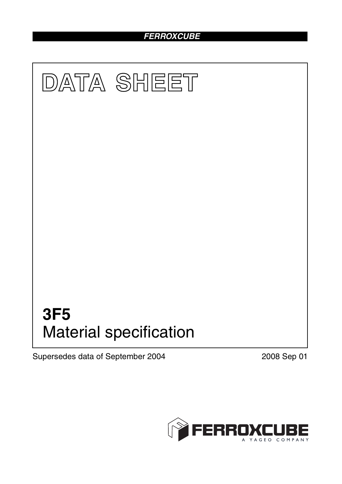## *FERROXCUBE*



Supersedes data of September 2004 2008 Sep 01

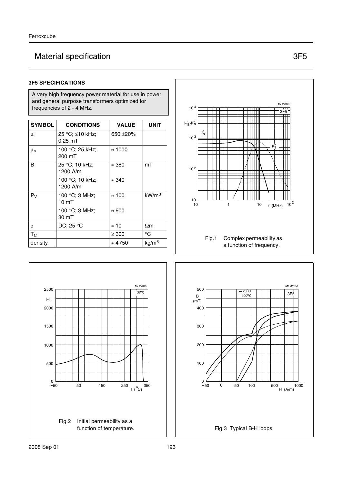# Material specification 3F5

#### **3F5 SPECIFICATIONS**

A very high frequency power material for use in power and general purpose transformers optimized for frequencies of 2 - 4 MHz.

| <b>SYMBOL</b>      | <b>CONDITIONS</b>                  | <b>VALUE</b>   | UNIT              |
|--------------------|------------------------------------|----------------|-------------------|
| μ <sub>i</sub>     | 25 °C; ≤10 kHz;<br>$0.25$ mT       | 650 $\pm$ 20%  |                   |
| $\mu_{\mathbf{a}}$ | 100 °C; 25 kHz;<br>200 mT          | $\approx 1000$ |                   |
| B                  | 25 °C; 10 kHz;<br>1200 A/m         | $\approx$ 380  | mT                |
|                    | 100 °C; 10 kHz;<br>1200 A/m        | $\approx 340$  |                   |
| $P_V$              | 100 °C; 3 MHz;<br>10 <sub>mT</sub> | $\approx 100$  | kW/m <sup>3</sup> |
|                    | 100 °C; 3 MHz;<br>30 mT            | $\approx 900$  |                   |
| ρ                  | DC; 25 $\degree$ C                 | $\approx$ 10   | $\Omega$ m        |
| $T_{C}$            |                                    | $\geq 300$     | $^{\circ}C$       |
| density            |                                    | $\approx 4750$ | kg/m <sup>3</sup> |





╥

 $\overline{\phantom{a}}$  has  $\overline{\phantom{a}}$ 

10 <sup>4</sup>



MFW022

3F5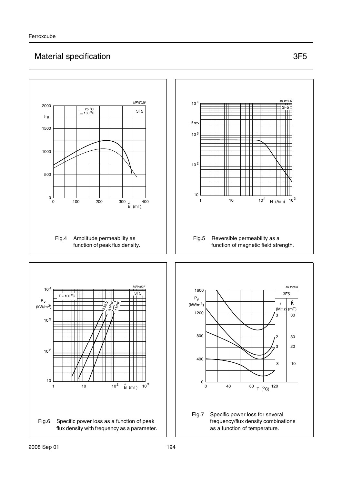## Material specification 3F5